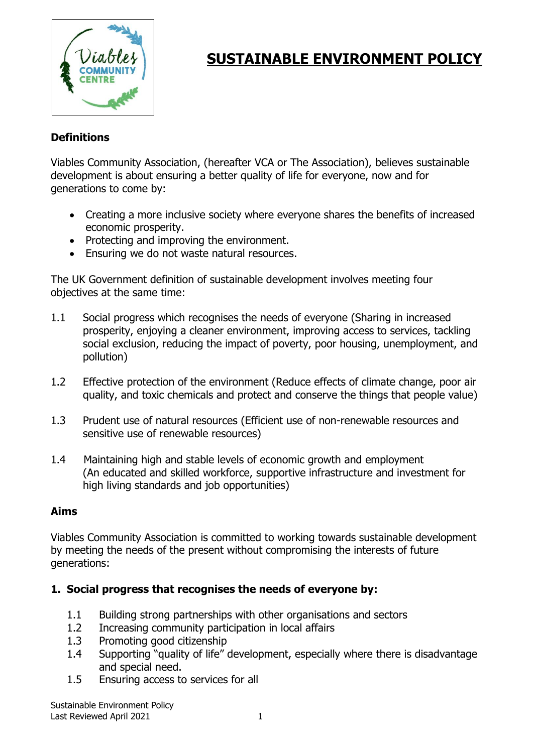

# **SUSTAINABLE ENVIRONMENT POLICY**

## **Definitions**

Viables Community Association, (hereafter VCA or The Association), believes sustainable development is about ensuring a better quality of life for everyone, now and for generations to come by:

- Creating a more inclusive society where everyone shares the benefits of increased economic prosperity.
- Protecting and improving the environment.
- Ensuring we do not waste natural resources.

The UK Government definition of sustainable development involves meeting four objectives at the same time:

- 1.1 Social progress which recognises the needs of everyone (Sharing in increased prosperity, enjoying a cleaner environment, improving access to services, tackling social exclusion, reducing the impact of poverty, poor housing, unemployment, and pollution)
- 1.2 Effective protection of the environment (Reduce effects of climate change, poor air quality, and toxic chemicals and protect and conserve the things that people value)
- 1.3 Prudent use of natural resources (Efficient use of non-renewable resources and sensitive use of renewable resources)
- 1.4 Maintaining high and stable levels of economic growth and employment (An educated and skilled workforce, supportive infrastructure and investment for high living standards and job opportunities)

#### **Aims**

Viables Community Association is committed to working towards sustainable development by meeting the needs of the present without compromising the interests of future generations:

#### **1. Social progress that recognises the needs of everyone by:**

- 1.1 Building strong partnerships with other organisations and sectors
- 1.2 Increasing community participation in local affairs
- 1.3 Promoting good citizenship
- 1.4 Supporting "quality of life" development, especially where there is disadvantage and special need.
- 1.5 Ensuring access to services for all

Sustainable Environment Policy Last Reviewed April 2021 1